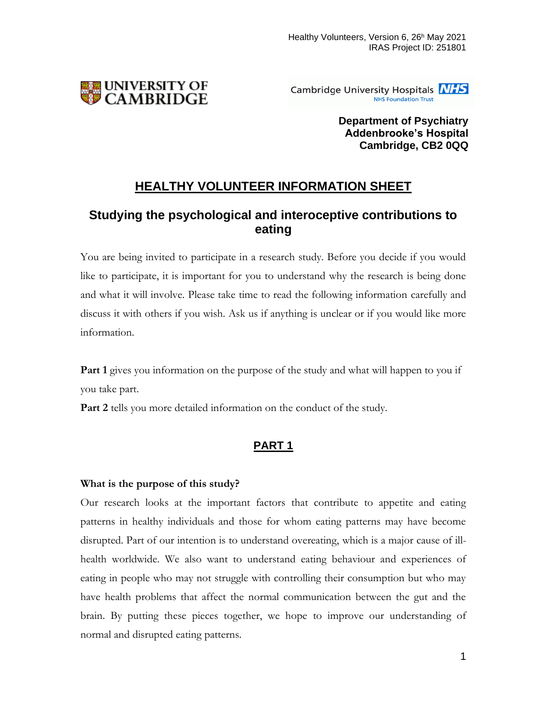

Cambridge University Hospitals **NHS NHS Foundation Trust** 

> **Department of Psychiatry Addenbrooke's Hospital Cambridge, CB2 0QQ**

# **HEALTHY VOLUNTEER INFORMATION SHEET**

# **Studying the psychological and interoceptive contributions to eating**

You are being invited to participate in a research study. Before you decide if you would like to participate, it is important for you to understand why the research is being done and what it will involve. Please take time to read the following information carefully and discuss it with others if you wish. Ask us if anything is unclear or if you would like more information.

**Part 1** gives you information on the purpose of the study and what will happen to you if you take part.

**Part 2** tells you more detailed information on the conduct of the study.

# **PART 1**

# **What is the purpose of this study?**

Our research looks at the important factors that contribute to appetite and eating patterns in healthy individuals and those for whom eating patterns may have become disrupted. Part of our intention is to understand overeating, which is a major cause of illhealth worldwide. We also want to understand eating behaviour and experiences of eating in people who may not struggle with controlling their consumption but who may have health problems that affect the normal communication between the gut and the brain. By putting these pieces together, we hope to improve our understanding of normal and disrupted eating patterns.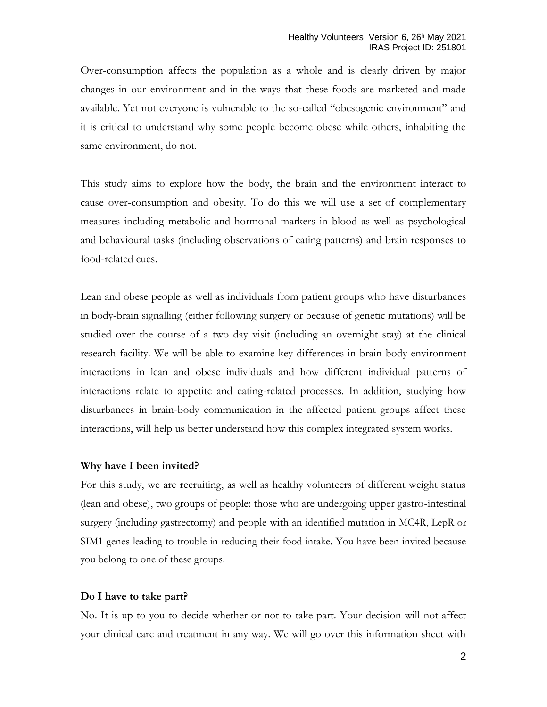Over-consumption affects the population as a whole and is clearly driven by major changes in our environment and in the ways that these foods are marketed and made available. Yet not everyone is vulnerable to the so-called "obesogenic environment" and it is critical to understand why some people become obese while others, inhabiting the same environment, do not.

This study aims to explore how the body, the brain and the environment interact to cause over-consumption and obesity. To do this we will use a set of complementary measures including metabolic and hormonal markers in blood as well as psychological and behavioural tasks (including observations of eating patterns) and brain responses to food-related cues.

Lean and obese people as well as individuals from patient groups who have disturbances in body-brain signalling (either following surgery or because of genetic mutations) will be studied over the course of a two day visit (including an overnight stay) at the clinical research facility. We will be able to examine key differences in brain-body-environment interactions in lean and obese individuals and how different individual patterns of interactions relate to appetite and eating-related processes. In addition, studying how disturbances in brain-body communication in the affected patient groups affect these interactions, will help us better understand how this complex integrated system works.

#### **Why have I been invited?**

For this study, we are recruiting, as well as healthy volunteers of different weight status (lean and obese), two groups of people: those who are undergoing upper gastro-intestinal surgery (including gastrectomy) and people with an identified mutation in MC4R, LepR or SIM1 genes leading to trouble in reducing their food intake. You have been invited because you belong to one of these groups.

#### **Do I have to take part?**

No. It is up to you to decide whether or not to take part. Your decision will not affect your clinical care and treatment in any way. We will go over this information sheet with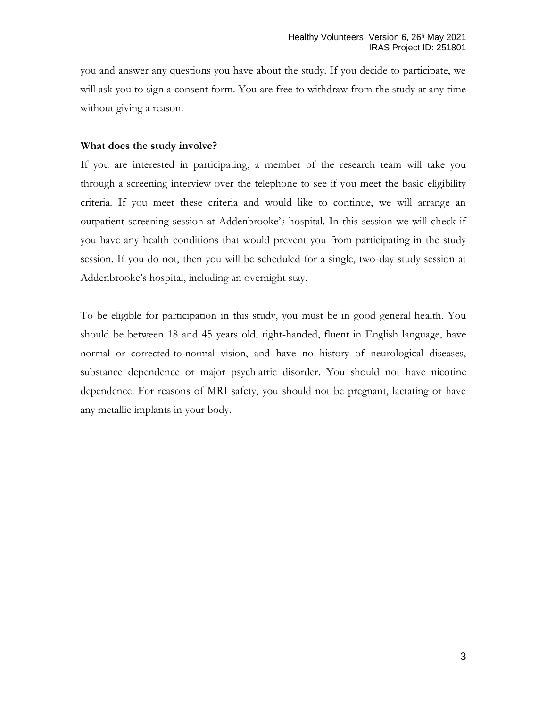you and answer any questions you have about the study. If you decide to participate, we will ask you to sign a consent form. You are free to withdraw from the study at any time without giving a reason.

### **What does the study involve?**

If you are interested in participating, a member of the research team will take you through a screening interview over the telephone to see if you meet the basic eligibility criteria. If you meet these criteria and would like to continue, we will arrange an outpatient screening session at Addenbrooke's hospital. In this session we will check if you have any health conditions that would prevent you from participating in the study session. If you do not, then you will be scheduled for a single, two-day study session at Addenbrooke's hospital, including an overnight stay.

To be eligible for participation in this study, you must be in good general health. You should be between 18 and 45 years old, right-handed, fluent in English language, have normal or corrected-to-normal vision, and have no history of neurological diseases, substance dependence or major psychiatric disorder. You should not have nicotine dependence. For reasons of MRI safety, you should not be pregnant, lactating or have any metallic implants in your body.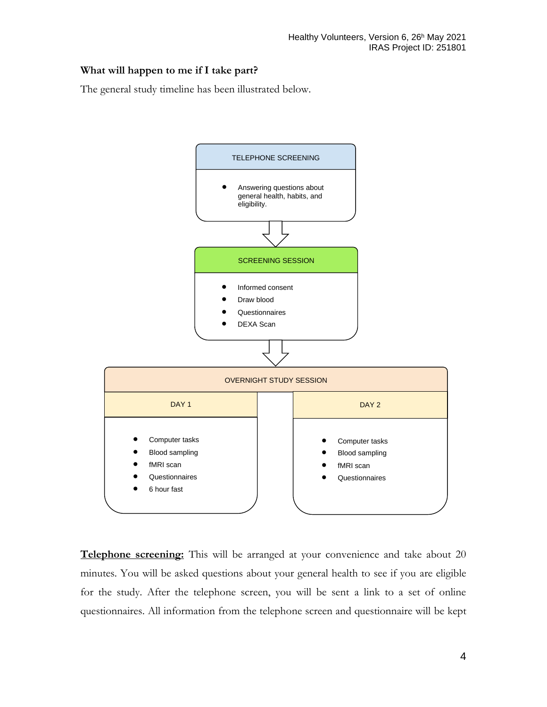### **What will happen to me if I take part?**

The general study timeline has been illustrated below.



**Telephone screening:** This will be arranged at your convenience and take about 20 minutes. You will be asked questions about your general health to see if you are eligible for the study. After the telephone screen, you will be sent a link to a set of online questionnaires. All information from the telephone screen and questionnaire will be kept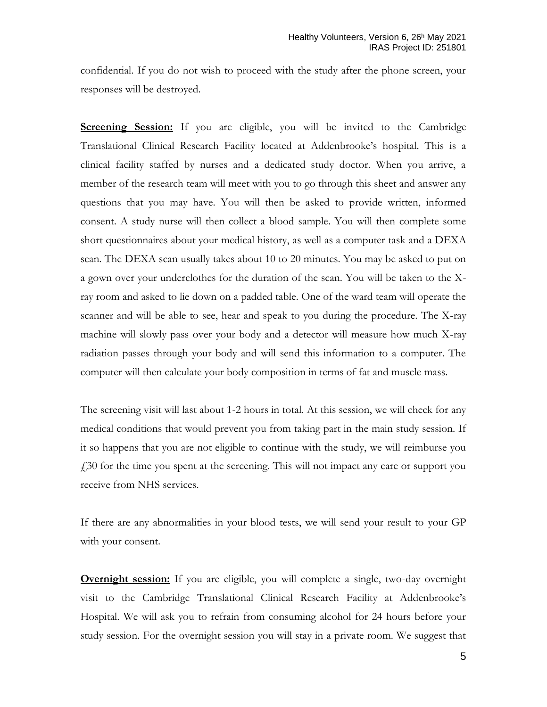confidential. If you do not wish to proceed with the study after the phone screen, your responses will be destroyed.

**Screening Session:** If you are eligible, you will be invited to the Cambridge Translational Clinical Research Facility located at Addenbrooke's hospital. This is a clinical facility staffed by nurses and a dedicated study doctor. When you arrive, a member of the research team will meet with you to go through this sheet and answer any questions that you may have. You will then be asked to provide written, informed consent. A study nurse will then collect a blood sample. You will then complete some short questionnaires about your medical history, as well as a computer task and a DEXA scan. The DEXA scan usually takes about 10 to 20 minutes. You may be asked to put on a gown over your underclothes for the duration of the scan. You will be taken to the Xray room and asked to lie down on a padded table. One of the ward team will operate the scanner and will be able to see, hear and speak to you during the procedure. The X-ray machine will slowly pass over your body and a detector will measure how much X-ray radiation passes through your body and will send this information to a computer. The computer will then calculate your body composition in terms of fat and muscle mass.

The screening visit will last about 1-2 hours in total. At this session, we will check for any medical conditions that would prevent you from taking part in the main study session. If it so happens that you are not eligible to continue with the study, we will reimburse you  $£30$  for the time you spent at the screening. This will not impact any care or support you receive from NHS services.

If there are any abnormalities in your blood tests, we will send your result to your GP with your consent.

**Overnight session:** If you are eligible, you will complete a single, two-day overnight visit to the Cambridge Translational Clinical Research Facility at Addenbrooke's Hospital. We will ask you to refrain from consuming alcohol for 24 hours before your study session. For the overnight session you will stay in a private room. We suggest that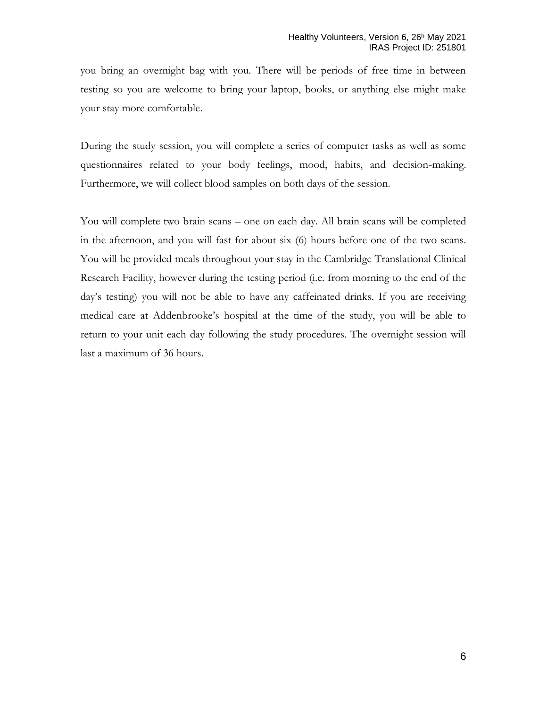you bring an overnight bag with you. There will be periods of free time in between testing so you are welcome to bring your laptop, books, or anything else might make your stay more comfortable.

During the study session, you will complete a series of computer tasks as well as some questionnaires related to your body feelings, mood, habits, and decision-making. Furthermore, we will collect blood samples on both days of the session.

You will complete two brain scans – one on each day. All brain scans will be completed in the afternoon, and you will fast for about six (6) hours before one of the two scans. You will be provided meals throughout your stay in the Cambridge Translational Clinical Research Facility, however during the testing period (i.e. from morning to the end of the day's testing) you will not be able to have any caffeinated drinks. If you are receiving medical care at Addenbrooke's hospital at the time of the study, you will be able to return to your unit each day following the study procedures. The overnight session will last a maximum of 36 hours.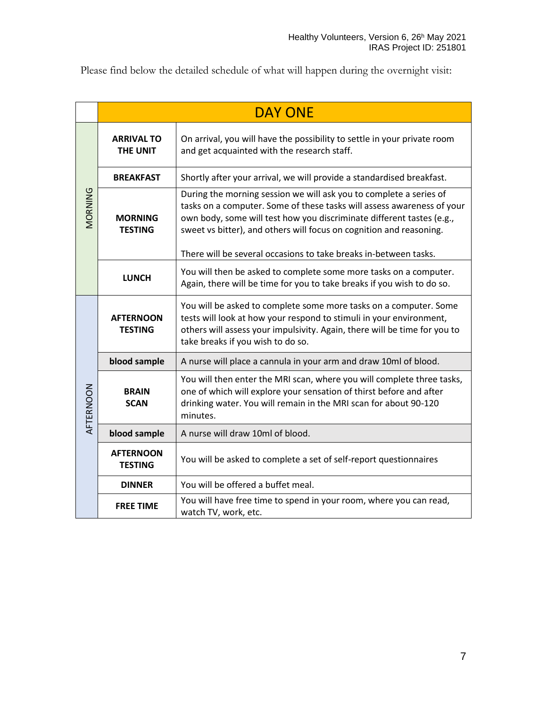Please find below the detailed schedule of what will happen during the overnight visit:

|           | <b>DAY ONE</b>                       |                                                                                                                                                                                                                                                                                                                                                                  |
|-----------|--------------------------------------|------------------------------------------------------------------------------------------------------------------------------------------------------------------------------------------------------------------------------------------------------------------------------------------------------------------------------------------------------------------|
| MORNING   | <b>ARRIVAL TO</b><br><b>THE UNIT</b> | On arrival, you will have the possibility to settle in your private room<br>and get acquainted with the research staff.                                                                                                                                                                                                                                          |
|           | <b>BREAKFAST</b>                     | Shortly after your arrival, we will provide a standardised breakfast.                                                                                                                                                                                                                                                                                            |
|           | <b>MORNING</b><br><b>TESTING</b>     | During the morning session we will ask you to complete a series of<br>tasks on a computer. Some of these tasks will assess awareness of your<br>own body, some will test how you discriminate different tastes (e.g.,<br>sweet vs bitter), and others will focus on cognition and reasoning.<br>There will be several occasions to take breaks in-between tasks. |
|           | <b>LUNCH</b>                         | You will then be asked to complete some more tasks on a computer.<br>Again, there will be time for you to take breaks if you wish to do so.                                                                                                                                                                                                                      |
| AFTERNOON | <b>AFTERNOON</b><br><b>TESTING</b>   | You will be asked to complete some more tasks on a computer. Some<br>tests will look at how your respond to stimuli in your environment,<br>others will assess your impulsivity. Again, there will be time for you to<br>take breaks if you wish to do so.                                                                                                       |
|           | blood sample                         | A nurse will place a cannula in your arm and draw 10ml of blood.                                                                                                                                                                                                                                                                                                 |
|           | <b>BRAIN</b><br><b>SCAN</b>          | You will then enter the MRI scan, where you will complete three tasks,<br>one of which will explore your sensation of thirst before and after<br>drinking water. You will remain in the MRI scan for about 90-120<br>minutes.                                                                                                                                    |
|           | blood sample                         | A nurse will draw 10ml of blood.                                                                                                                                                                                                                                                                                                                                 |
|           | <b>AFTERNOON</b><br><b>TESTING</b>   | You will be asked to complete a set of self-report questionnaires                                                                                                                                                                                                                                                                                                |
|           | <b>DINNER</b>                        | You will be offered a buffet meal.                                                                                                                                                                                                                                                                                                                               |
|           | <b>FREE TIME</b>                     | You will have free time to spend in your room, where you can read,<br>watch TV, work, etc.                                                                                                                                                                                                                                                                       |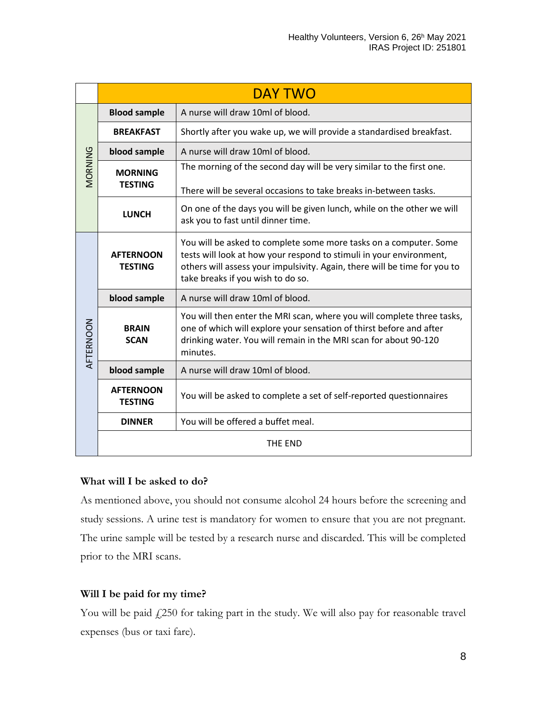|           | <b>DAY TWO</b>                     |                                                                                                                                                                                                                                                            |
|-----------|------------------------------------|------------------------------------------------------------------------------------------------------------------------------------------------------------------------------------------------------------------------------------------------------------|
| MORNING   | <b>Blood sample</b>                | A nurse will draw 10ml of blood.                                                                                                                                                                                                                           |
|           | <b>BREAKFAST</b>                   | Shortly after you wake up, we will provide a standardised breakfast.                                                                                                                                                                                       |
|           | blood sample                       | A nurse will draw 10ml of blood.                                                                                                                                                                                                                           |
|           | <b>MORNING</b><br><b>TESTING</b>   | The morning of the second day will be very similar to the first one.                                                                                                                                                                                       |
|           |                                    | There will be several occasions to take breaks in-between tasks.                                                                                                                                                                                           |
|           | <b>LUNCH</b>                       | On one of the days you will be given lunch, while on the other we will<br>ask you to fast until dinner time.                                                                                                                                               |
| AFTERNOON | <b>AFTERNOON</b><br><b>TESTING</b> | You will be asked to complete some more tasks on a computer. Some<br>tests will look at how your respond to stimuli in your environment,<br>others will assess your impulsivity. Again, there will be time for you to<br>take breaks if you wish to do so. |
|           | blood sample                       | A nurse will draw 10ml of blood.                                                                                                                                                                                                                           |
|           | <b>BRAIN</b><br><b>SCAN</b>        | You will then enter the MRI scan, where you will complete three tasks,<br>one of which will explore your sensation of thirst before and after<br>drinking water. You will remain in the MRI scan for about 90-120<br>minutes.                              |
|           | blood sample                       | A nurse will draw 10ml of blood.                                                                                                                                                                                                                           |
|           | <b>AFTERNOON</b><br><b>TESTING</b> | You will be asked to complete a set of self-reported questionnaires                                                                                                                                                                                        |
|           | <b>DINNER</b>                      | You will be offered a buffet meal.                                                                                                                                                                                                                         |
|           |                                    | THE END                                                                                                                                                                                                                                                    |

# **What will I be asked to do?**

As mentioned above, you should not consume alcohol 24 hours before the screening and study sessions. A urine test is mandatory for women to ensure that you are not pregnant. The urine sample will be tested by a research nurse and discarded. This will be completed prior to the MRI scans.

# **Will I be paid for my time?**

You will be paid £250 for taking part in the study. We will also pay for reasonable travel expenses (bus or taxi fare).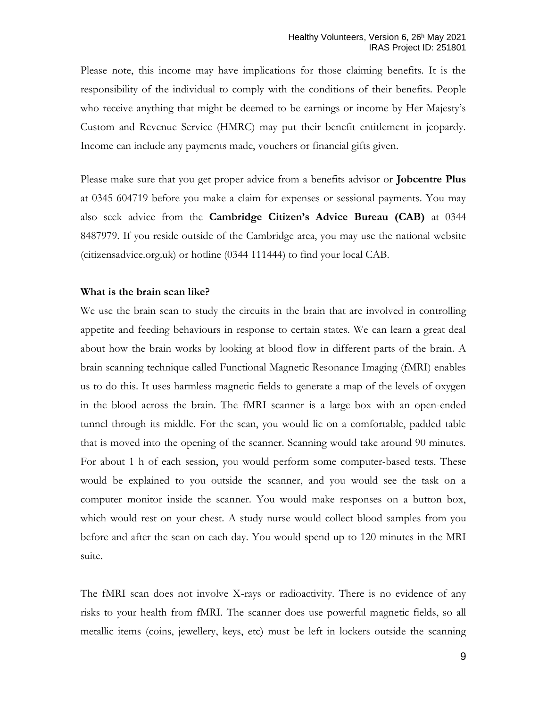Please note, this income may have implications for those claiming benefits. It is the responsibility of the individual to comply with the conditions of their benefits. People who receive anything that might be deemed to be earnings or income by Her Majesty's Custom and Revenue Service (HMRC) may put their benefit entitlement in jeopardy. Income can include any payments made, vouchers or financial gifts given.

Please make sure that you get proper advice from a benefits advisor or **Jobcentre Plus** at 0345 604719 before you make a claim for expenses or sessional payments. You may also seek advice from the **Cambridge Citizen's Advice Bureau (CAB)** at 0344 8487979. If you reside outside of the Cambridge area, you may use the national website (citizensadvice.org.uk) or hotline (0344 111444) to find your local CAB.

#### **What is the brain scan like?**

We use the brain scan to study the circuits in the brain that are involved in controlling appetite and feeding behaviours in response to certain states. We can learn a great deal about how the brain works by looking at blood flow in different parts of the brain. A brain scanning technique called Functional Magnetic Resonance Imaging (fMRI) enables us to do this. It uses harmless magnetic fields to generate a map of the levels of oxygen in the blood across the brain. The fMRI scanner is a large box with an open-ended tunnel through its middle. For the scan, you would lie on a comfortable, padded table that is moved into the opening of the scanner. Scanning would take around 90 minutes. For about 1 h of each session, you would perform some computer-based tests. These would be explained to you outside the scanner, and you would see the task on a computer monitor inside the scanner. You would make responses on a button box, which would rest on your chest. A study nurse would collect blood samples from you before and after the scan on each day. You would spend up to 120 minutes in the MRI suite.

The fMRI scan does not involve X-rays or radioactivity. There is no evidence of any risks to your health from fMRI. The scanner does use powerful magnetic fields, so all metallic items (coins, jewellery, keys, etc) must be left in lockers outside the scanning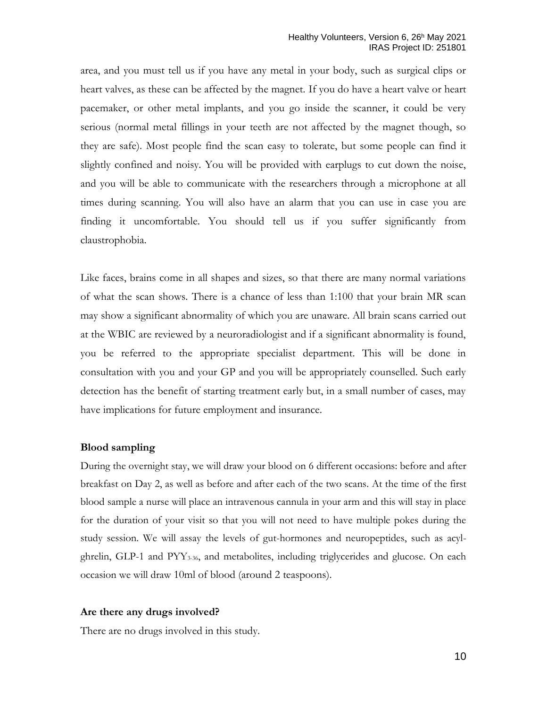area, and you must tell us if you have any metal in your body, such as surgical clips or heart valves, as these can be affected by the magnet. If you do have a heart valve or heart pacemaker, or other metal implants, and you go inside the scanner, it could be very serious (normal metal fillings in your teeth are not affected by the magnet though, so they are safe). Most people find the scan easy to tolerate, but some people can find it slightly confined and noisy. You will be provided with earplugs to cut down the noise, and you will be able to communicate with the researchers through a microphone at all times during scanning. You will also have an alarm that you can use in case you are finding it uncomfortable. You should tell us if you suffer significantly from claustrophobia.

Like faces, brains come in all shapes and sizes, so that there are many normal variations of what the scan shows. There is a chance of less than 1:100 that your brain MR scan may show a significant abnormality of which you are unaware. All brain scans carried out at the WBIC are reviewed by a neuroradiologist and if a significant abnormality is found, you be referred to the appropriate specialist department. This will be done in consultation with you and your GP and you will be appropriately counselled. Such early detection has the benefit of starting treatment early but, in a small number of cases, may have implications for future employment and insurance.

#### **Blood sampling**

During the overnight stay, we will draw your blood on 6 different occasions: before and after breakfast on Day 2, as well as before and after each of the two scans. At the time of the first blood sample a nurse will place an intravenous cannula in your arm and this will stay in place for the duration of your visit so that you will not need to have multiple pokes during the study session. We will assay the levels of gut-hormones and neuropeptides, such as acylghrelin, GLP-1 and  $PYY_{3.36}$ , and metabolites, including triglycerides and glucose. On each occasion we will draw 10ml of blood (around 2 teaspoons).

#### **Are there any drugs involved?**

There are no drugs involved in this study.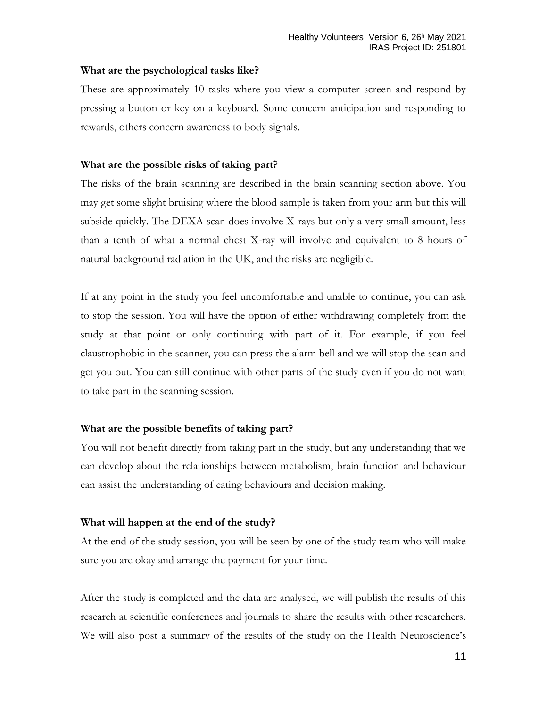### **What are the psychological tasks like?**

These are approximately 10 tasks where you view a computer screen and respond by pressing a button or key on a keyboard. Some concern anticipation and responding to rewards, others concern awareness to body signals.

### **What are the possible risks of taking part?**

The risks of the brain scanning are described in the brain scanning section above. You may get some slight bruising where the blood sample is taken from your arm but this will subside quickly. The DEXA scan does involve X-rays but only a very small amount, less than a tenth of what a normal chest X-ray will involve and equivalent to 8 hours of natural background radiation in the UK, and the risks are negligible.

If at any point in the study you feel uncomfortable and unable to continue, you can ask to stop the session. You will have the option of either withdrawing completely from the study at that point or only continuing with part of it. For example, if you feel claustrophobic in the scanner, you can press the alarm bell and we will stop the scan and get you out. You can still continue with other parts of the study even if you do not want to take part in the scanning session.

# **What are the possible benefits of taking part?**

You will not benefit directly from taking part in the study, but any understanding that we can develop about the relationships between metabolism, brain function and behaviour can assist the understanding of eating behaviours and decision making.

### **What will happen at the end of the study?**

At the end of the study session, you will be seen by one of the study team who will make sure you are okay and arrange the payment for your time.

After the study is completed and the data are analysed, we will publish the results of this research at scientific conferences and journals to share the results with other researchers. We will also post a summary of the results of the study on the Health Neuroscience's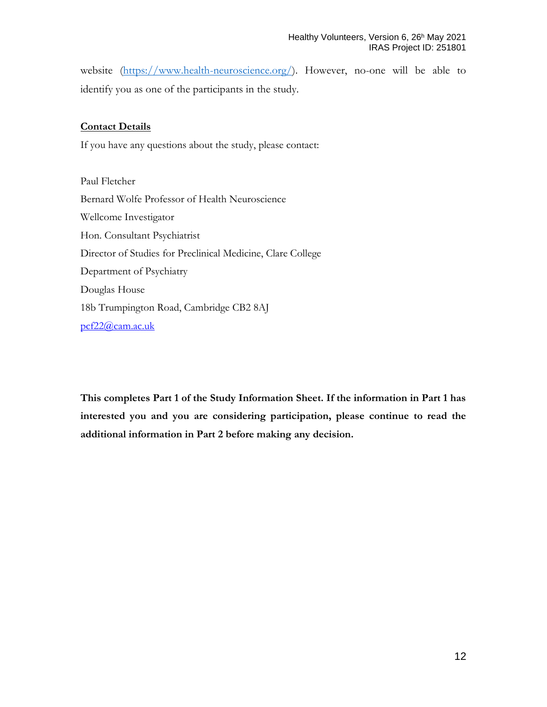website [\(https://www.health-neuroscience.org/\)](https://www.health-neuroscience.org/). However, no-one will be able to identify you as one of the participants in the study.

### **Contact Details**

If you have any questions about the study, please contact:

Paul Fletcher Bernard Wolfe Professor of Health Neuroscience Wellcome Investigator Hon. Consultant Psychiatrist Director of Studies for Preclinical Medicine, Clare College Department of Psychiatry Douglas House 18b Trumpington Road, Cambridge CB2 8AJ pcf22@cam.ac.uk

**This completes Part 1 of the Study Information Sheet. If the information in Part 1 has interested you and you are considering participation, please continue to read the additional information in Part 2 before making any decision.**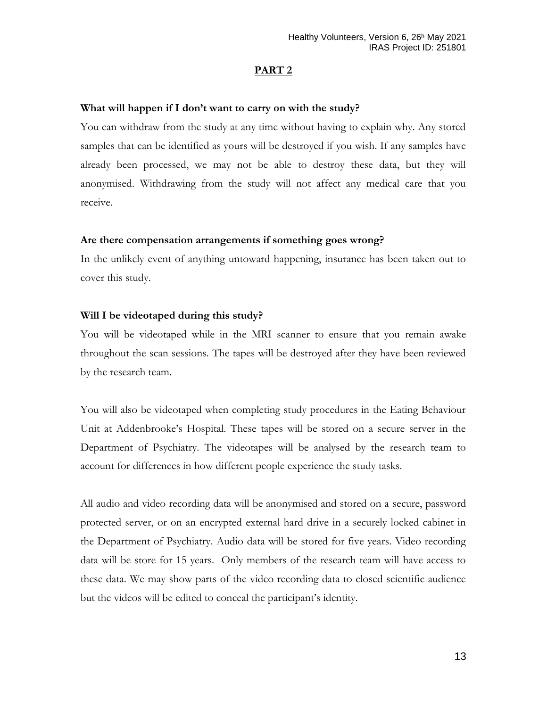### **PART 2**

#### **What will happen if I don't want to carry on with the study?**

You can withdraw from the study at any time without having to explain why. Any stored samples that can be identified as yours will be destroyed if you wish. If any samples have already been processed, we may not be able to destroy these data, but they will anonymised. Withdrawing from the study will not affect any medical care that you receive.

#### **Are there compensation arrangements if something goes wrong?**

In the unlikely event of anything untoward happening, insurance has been taken out to cover this study.

#### **Will I be videotaped during this study?**

You will be videotaped while in the MRI scanner to ensure that you remain awake throughout the scan sessions. The tapes will be destroyed after they have been reviewed by the research team.

You will also be videotaped when completing study procedures in the Eating Behaviour Unit at Addenbrooke's Hospital. These tapes will be stored on a secure server in the Department of Psychiatry. The videotapes will be analysed by the research team to account for differences in how different people experience the study tasks.

All audio and video recording data will be anonymised and stored on a secure, password protected server, or on an encrypted external hard drive in a securely locked cabinet in the Department of Psychiatry. Audio data will be stored for five years. Video recording data will be store for 15 years. Only members of the research team will have access to these data. We may show parts of the video recording data to closed scientific audience but the videos will be edited to conceal the participant's identity.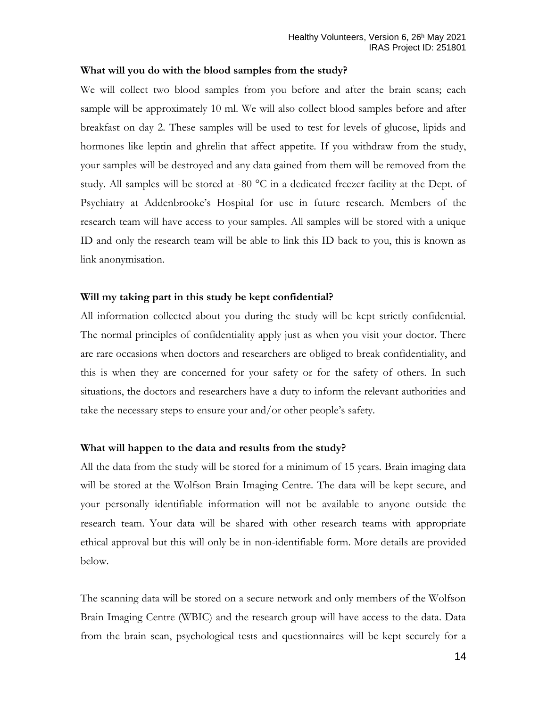### **What will you do with the blood samples from the study?**

We will collect two blood samples from you before and after the brain scans; each sample will be approximately 10 ml. We will also collect blood samples before and after breakfast on day 2. These samples will be used to test for levels of glucose, lipids and hormones like leptin and ghrelin that affect appetite. If you withdraw from the study, your samples will be destroyed and any data gained from them will be removed from the study. All samples will be stored at -80 °C in a dedicated freezer facility at the Dept. of Psychiatry at Addenbrooke's Hospital for use in future research. Members of the research team will have access to your samples. All samples will be stored with a unique ID and only the research team will be able to link this ID back to you, this is known as link anonymisation.

### **Will my taking part in this study be kept confidential?**

All information collected about you during the study will be kept strictly confidential. The normal principles of confidentiality apply just as when you visit your doctor. There are rare occasions when doctors and researchers are obliged to break confidentiality, and this is when they are concerned for your safety or for the safety of others. In such situations, the doctors and researchers have a duty to inform the relevant authorities and take the necessary steps to ensure your and/or other people's safety.

#### **What will happen to the data and results from the study?**

All the data from the study will be stored for a minimum of 15 years. Brain imaging data will be stored at the Wolfson Brain Imaging Centre. The data will be kept secure, and your personally identifiable information will not be available to anyone outside the research team. Your data will be shared with other research teams with appropriate ethical approval but this will only be in non-identifiable form. More details are provided below.

The scanning data will be stored on a secure network and only members of the Wolfson Brain Imaging Centre (WBIC) and the research group will have access to the data. Data from the brain scan, psychological tests and questionnaires will be kept securely for a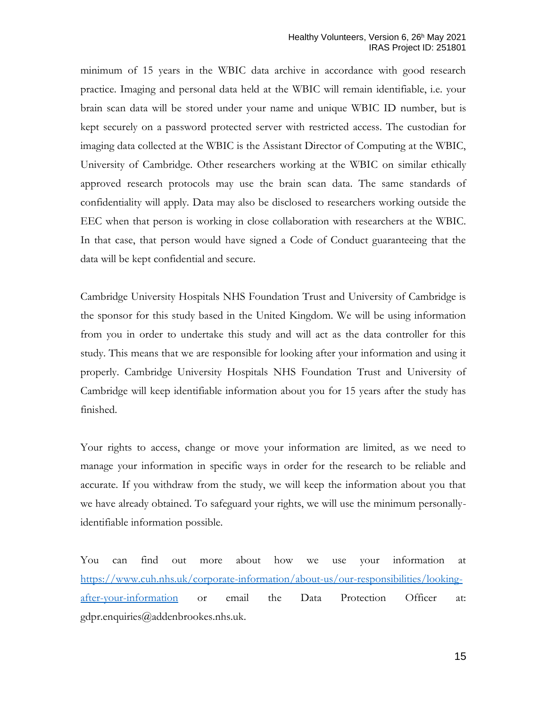minimum of 15 years in the WBIC data archive in accordance with good research practice. Imaging and personal data held at the WBIC will remain identifiable, i.e. your brain scan data will be stored under your name and unique WBIC ID number, but is kept securely on a password protected server with restricted access. The custodian for imaging data collected at the WBIC is the Assistant Director of Computing at the WBIC, University of Cambridge. Other researchers working at the WBIC on similar ethically approved research protocols may use the brain scan data. The same standards of confidentiality will apply. Data may also be disclosed to researchers working outside the EEC when that person is working in close collaboration with researchers at the WBIC. In that case, that person would have signed a Code of Conduct guaranteeing that the data will be kept confidential and secure.

Cambridge University Hospitals NHS Foundation Trust and University of Cambridge is the sponsor for this study based in the United Kingdom. We will be using information from you in order to undertake this study and will act as the data controller for this study. This means that we are responsible for looking after your information and using it properly. Cambridge University Hospitals NHS Foundation Trust and University of Cambridge will keep identifiable information about you for 15 years after the study has finished.

Your rights to access, change or move your information are limited, as we need to manage your information in specific ways in order for the research to be reliable and accurate. If you withdraw from the study, we will keep the information about you that we have already obtained. To safeguard your rights, we will use the minimum personallyidentifiable information possible.

You can find out more about how we use your information at [https://www.cuh.nhs.uk/corporate-information/about-us/our-responsibilities/looking](https://www.cuh.nhs.uk/corporate-information/about-us/our-responsibilities/looking-after-your-information)[after-your-information](https://www.cuh.nhs.uk/corporate-information/about-us/our-responsibilities/looking-after-your-information) or email the Data Protection Officer at: gdpr.enquiries@addenbrookes.nhs.uk.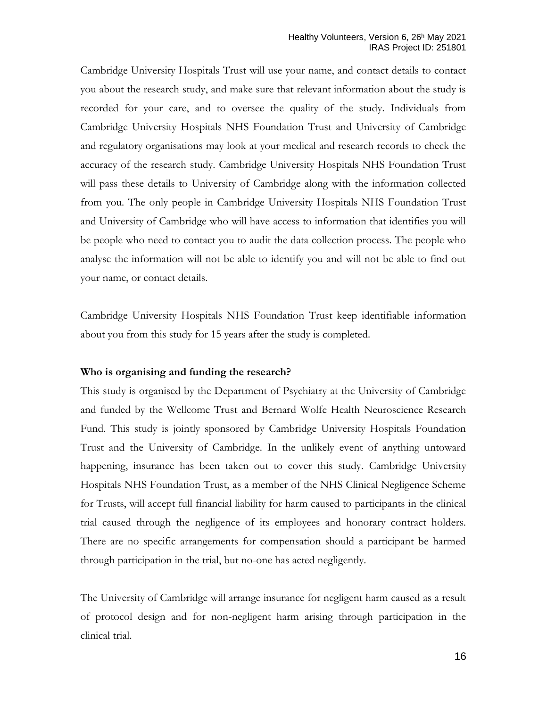Cambridge University Hospitals Trust will use your name, and contact details to contact you about the research study, and make sure that relevant information about the study is recorded for your care, and to oversee the quality of the study. Individuals from Cambridge University Hospitals NHS Foundation Trust and University of Cambridge and regulatory organisations may look at your medical and research records to check the accuracy of the research study. Cambridge University Hospitals NHS Foundation Trust will pass these details to University of Cambridge along with the information collected from you. The only people in Cambridge University Hospitals NHS Foundation Trust and University of Cambridge who will have access to information that identifies you will be people who need to contact you to audit the data collection process. The people who analyse the information will not be able to identify you and will not be able to find out your name, or contact details.

Cambridge University Hospitals NHS Foundation Trust keep identifiable information about you from this study for 15 years after the study is completed.

#### **Who is organising and funding the research?**

This study is organised by the Department of Psychiatry at the University of Cambridge and funded by the Wellcome Trust and Bernard Wolfe Health Neuroscience Research Fund. This study is jointly sponsored by Cambridge University Hospitals Foundation Trust and the University of Cambridge. In the unlikely event of anything untoward happening, insurance has been taken out to cover this study. Cambridge University Hospitals NHS Foundation Trust, as a member of the NHS Clinical Negligence Scheme for Trusts, will accept full financial liability for harm caused to participants in the clinical trial caused through the negligence of its employees and honorary contract holders. There are no specific arrangements for compensation should a participant be harmed through participation in the trial, but no-one has acted negligently.

The University of Cambridge will arrange insurance for negligent harm caused as a result of protocol design and for non-negligent harm arising through participation in the clinical trial.